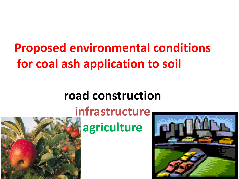# **Proposed environmental conditions for coal ash application to soil**

# **road construction**



# **infrastructure agriculture**

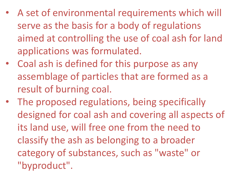- A set of environmental requirements which will serve as the basis for a body of regulations aimed at controlling the use of coal ash for land applications was formulated.
- Coal ash is defined for this purpose as any assemblage of particles that are formed as a result of burning coal.
- The proposed regulations, being specifically designed for coal ash and covering all aspects of its land use, will free one from the need to classify the ash as belonging to a broader category of substances, such as "waste" or "byproduct".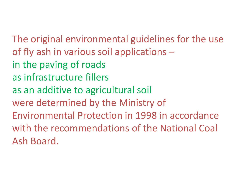The original environmental guidelines for the use of fly ash in various soil applications – in the paving of roads as infrastructure fillers as an additive to agricultural soil were determined by the Ministry of Environmental Protection in 1998 in accordance with the recommendations of the National Coal Ash Board.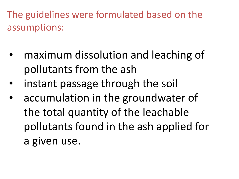The guidelines were formulated based on the assumptions:

- maximum dissolution and leaching of pollutants from the ash
- instant passage through the soil
- accumulation in the groundwater of the total quantity of the leachable pollutants found in the ash applied for a given use.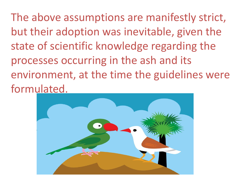The above assumptions are manifestly strict, but their adoption was inevitable, given the state of scientific knowledge regarding the processes occurring in the ash and its environment, at the time the guidelines were formulated.

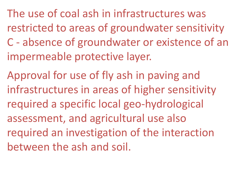The use of coal ash in infrastructures was restricted to areas of groundwater sensitivity C - absence of groundwater or existence of an impermeable protective layer.

Approval for use of fly ash in paving and infrastructures in areas of higher sensitivity required a specific local geo-hydrological assessment, and agricultural use also required an investigation of the interaction between the ash and soil.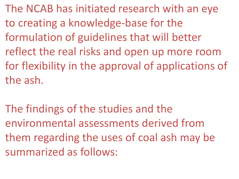The NCAB has initiated research with an eye to creating a knowledge-base for the formulation of guidelines that will better reflect the real risks and open up more room for flexibility in the approval of applications of the ash.

The findings of the studies and the environmental assessments derived from them regarding the uses of coal ash may be summarized as follows: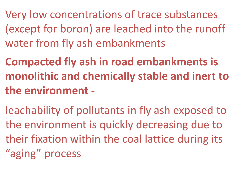Very low concentrations of trace substances (except for boron) are leached into the runoff water from fly ash embankments

**Compacted fly ash in road embankments is monolithic and chemically stable and inert to the environment -**

leachability of pollutants in fly ash exposed to the environment is quickly decreasing due to their fixation within the coal lattice during its "aging" process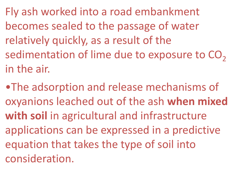Fly ash worked into a road embankment becomes sealed to the passage of water relatively quickly, as a result of the sedimentation of lime due to exposure to  $CO<sub>2</sub>$ in the air.

•The adsorption and release mechanisms of oxyanions leached out of the ash **when mixed with soil** in agricultural and infrastructure applications can be expressed in a predictive equation that takes the type of soil into consideration.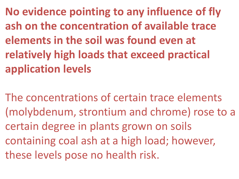**No evidence pointing to any influence of fly ash on the concentration of available trace elements in the soil was found even at relatively high loads that exceed practical application levels** 

The concentrations of certain trace elements (molybdenum, strontium and chrome) rose to a certain degree in plants grown on soils containing coal ash at a high load; however, these levels pose no health risk.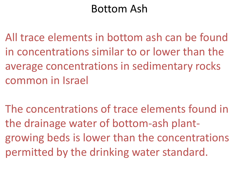## Bottom Ash

All trace elements in bottom ash can be found in concentrations similar to or lower than the average concentrations in sedimentary rocks common in Israel

The concentrations of trace elements found in the drainage water of bottom-ash plantgrowing beds is lower than the concentrations permitted by the drinking water standard.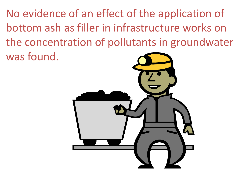No evidence of an effect of the application of bottom ash as filler in infrastructure works on the concentration of pollutants in groundwater was found.

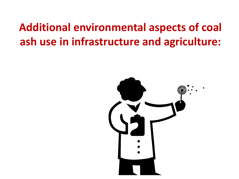# **Additional environmental aspects of coal ash use in infrastructure and agriculture:**

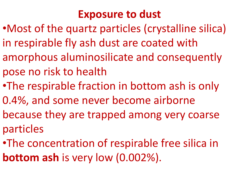## **Exposure to dust**

- •Most of the quartz particles (crystalline silica) in respirable fly ash dust are coated with amorphous aluminosilicate and consequently pose no risk to health
- •The respirable fraction in bottom ash is only
- 0.4%, and some never become airborne
- because they are trapped among very coarse particles
- •The concentration of respirable free silica in **bottom ash** is very low (0.002%).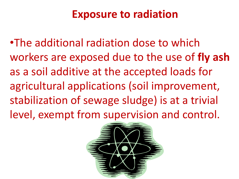## **Exposure to radiation**

•The additional radiation dose to which workers are exposed due to the use of **fly ash**  as a soil additive at the accepted loads for agricultural applications (soil improvement, stabilization of sewage sludge) is at a trivial level, exempt from supervision and control.

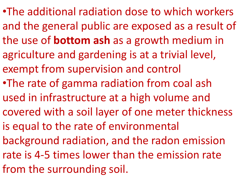•The additional radiation dose to which workers and the general public are exposed as a result of the use of **bottom ash** as a growth medium in agriculture and gardening is at a trivial level, exempt from supervision and control •The rate of gamma radiation from coal ash used in infrastructure at a high volume and covered with a soil layer of one meter thickness is equal to the rate of environmental background radiation, and the radon emission rate is 4-5 times lower than the emission rate from the surrounding soil.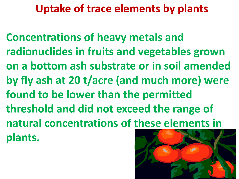# **Uptake of trace elements by plants**

**Concentrations of heavy metals and radionuclides in fruits and vegetables grown on a bottom ash substrate or in soil amended by fly ash at 20 t/acre (and much more) were found to be lower than the permitted threshold and did not exceed the range of natural concentrations of these elements in plants.**

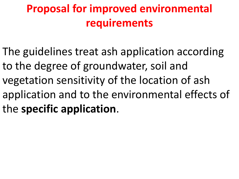# **Proposal for improved environmental requirements**

The guidelines treat ash application according to the degree of groundwater, soil and vegetation sensitivity of the location of ash application and to the environmental effects of the **specific application**.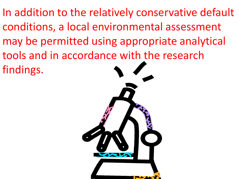In addition to the relatively conservative default conditions, a local environmental assessment may be permitted using appropriate analytical tools and in accordance with the research findings.

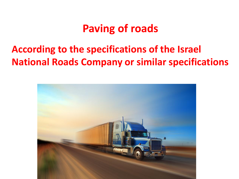## **Paving of roads**

#### **According to the specifications of the Israel National Roads Company or similar specifications**

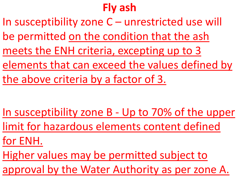# **Fly ash**

In susceptibility zone C – unrestricted use will be permitted on the condition that the ash meets the ENH criteria, excepting up to 3 elements that can exceed the values defined by the above criteria by a factor of 3.

- In susceptibility zone B Up to 70% of the upper
- limit for hazardous elements content defined
- for ENH.
- Higher values may be permitted subject to
- approval by the Water Authority as per zone A.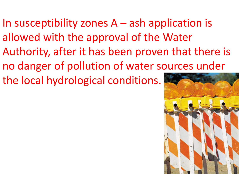In susceptibility zones A – ash application is allowed with the approval of the Water Authority, after it has been proven that there is no danger of pollution of water sources under the local hydrological conditions.

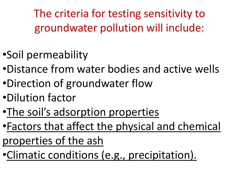The criteria for testing sensitivity to groundwater pollution will include:

- •Soil permeability
- •Distance from water bodies and active wells
- •Direction of groundwater flow
- •Dilution factor
- •The soil's adsorption properties
- •Factors that affect the physical and chemical properties of the ash
- •Climatic conditions (e.g., precipitation).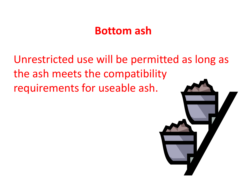#### **Bottom ash**

Unrestricted use will be permitted as long as the ash meets the compatibility requirements for useable ash.

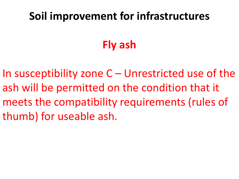# **Soil improvement for infrastructures**

# **Fly ash**

In susceptibility zone  $C$  – Unrestricted use of the ash will be permitted on the condition that it meets the compatibility requirements (rules of thumb) for useable ash.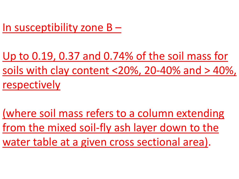In susceptibility zone B –

Up to 0.19, 0.37 and 0.74% of the soil mass for soils with clay content <20%, 20-40% and > 40%, respectively

(where soil mass refers to a column extending from the mixed soil-fly ash layer down to the water table at a given cross sectional area).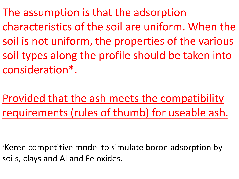The assumption is that the adsorption characteristics of the soil are uniform. When the soil is not uniform, the properties of the various soil types along the profile should be taken into consideration\*.

Provided that the ash meets the compatibility requirements (rules of thumb) for useable ash.

\*Keren competitive model to simulate boron adsorption by soils, clays and Al and Fe oxides.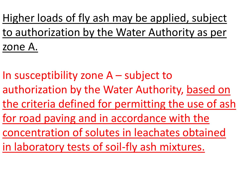Higher loads of fly ash may be applied, subject to authorization by the Water Authority as per zone A.

In susceptibility zone A – subject to authorization by the Water Authority, based on the criteria defined for permitting the use of ash for road paving and in accordance with the concentration of solutes in leachates obtained in laboratory tests of soil-fly ash mixtures.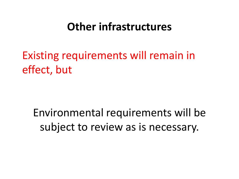#### **Other infrastructures**

Existing requirements will remain in effect, but

Environmental requirements will be subject to review as is necessary.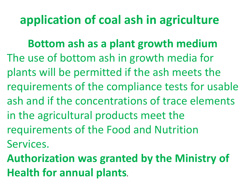# **application of coal ash in agriculture**

**Bottom ash as a plant growth medium**  The use of bottom ash in growth media for plants will be permitted if the ash meets the requirements of the compliance tests for usable ash and if the concentrations of trace elements in the agricultural products meet the requirements of the Food and Nutrition Services.

**Authorization was granted by the Ministry of Health for annual plants.**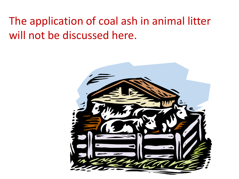# The application of coal ash in animal litter will not be discussed here.

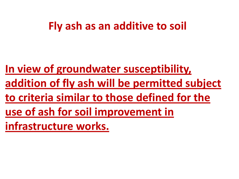#### **Fly ash as an additive to soil**

**In view of groundwater susceptibility, addition of fly ash will be permitted subject to criteria similar to those defined for the use of ash for soil improvement in infrastructure works.**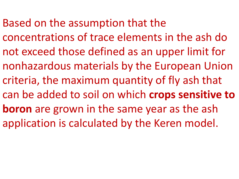Based on the assumption that the

concentrations of trace elements in the ash do not exceed those defined as an upper limit for nonhazardous materials by the European Union criteria, the maximum quantity of fly ash that can be added to soil on which **crops sensitive to boron** are grown in the same year as the ash application is calculated by the Keren model.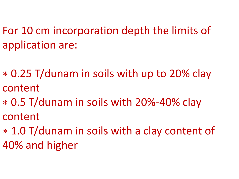For 10 cm incorporation depth the limits of application are:

∗ 0.25 T/dunam in soils with up to 20% clay content

- ∗ 0.5 T/dunam in soils with 20%-40% clay content
- ∗ 1.0 T/dunam in soils with a clay content of 40% and higher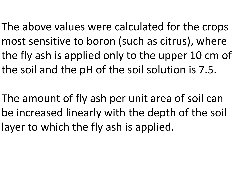The above values were calculated for the crops most sensitive to boron (such as citrus), where the fly ash is applied only to the upper 10 cm of the soil and the pH of the soil solution is 7.5.

The amount of fly ash per unit area of soil can be increased linearly with the depth of the soil layer to which the fly ash is applied.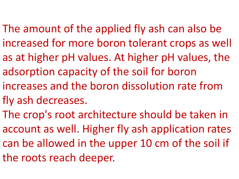- The amount of the applied fly ash can also be increased for more boron tolerant crops as well as at higher pH values. At higher pH values, the adsorption capacity of the soil for boron increases and the boron dissolution rate from fly ash decreases.
- The crop's root architecture should be taken in account as well. Higher fly ash application rates can be allowed in the upper 10 cm of the soil if the roots reach deeper.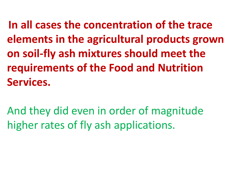**In all cases the concentration of the trace elements in the agricultural products grown on soil-fly ash mixtures should meet the requirements of the Food and Nutrition Services.**

And they did even in order of magnitude higher rates of fly ash applications.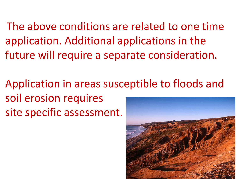The above conditions are related to one time application. Additional applications in the future will require a separate consideration.

Application in areas susceptible to floods and soil erosion requires site specific assessment.

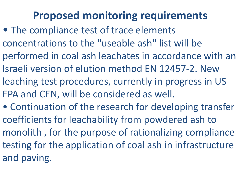# **Proposed monitoring requirements**

- The compliance test of trace elements concentrations to the "useable ash" list will be performed in coal ash leachates in accordance with an Israeli version of elution method EN 12457-2. New leaching test procedures, currently in progress in US-EPA and CEN, will be considered as well.
- Continuation of the research for developing transfer coefficients for leachability from powdered ash to monolith , for the purpose of rationalizing compliance testing for the application of coal ash in infrastructure and paving.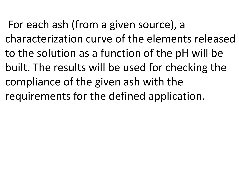For each ash (from a given source), a characterization curve of the elements released to the solution as a function of the pH will be built. The results will be used for checking the compliance of the given ash with the requirements for the defined application.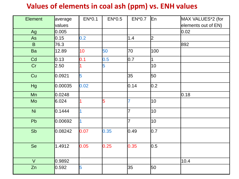#### **Values of elements in coal ash (ppm) vs. ENH values**

| <b>Element</b> | average | $EN*0.1$       | $EN*0.5$ | EN*0.7         | En             | MAX VALUES*2 (for   |
|----------------|---------|----------------|----------|----------------|----------------|---------------------|
|                | values  |                |          |                |                | elements out of EN) |
| Ag             | 0.005   |                |          |                |                | 0.02                |
| As             | 0.15    | 0.2            |          | 1.4            | 2              |                     |
| B              | 76.3    |                |          |                |                | 892                 |
| Ba             | 12.89   | 10             | 50       | 70             | 100            |                     |
| Cd             | 0.13    | 0.1            | 0.5      | 0.7            | $\overline{1}$ |                     |
| Cr             | 2.50    |                | 5        |                | 10             |                     |
| Cu             | 0.0921  | 5              |          | 35             | 50             |                     |
| Hg             | 0.00035 | 0.02           |          | 0.14           | 0.2            |                     |
| Mn             | 0.0248  |                |          |                |                | 0.18                |
| Mo             | 6.024   |                | 5        | $\overline{7}$ | 10             |                     |
| <b>Ni</b>      | 0.1444  |                |          | $\overline{7}$ | 10             |                     |
| Pb             | 0.00692 | $\overline{1}$ |          | $\overline{7}$ | 10             |                     |
| Sb             | 0.08242 | 0.07           | 0.35     | 0.49           | 0.7            |                     |
| Se             | 1.4912  | 0.05           | 0.25     | 0.35           | 0.5            |                     |
| $\vee$         | 0.9892  |                |          |                |                | 10.4                |
| Zn             | 0.592   | 5              |          | 35             | 50             |                     |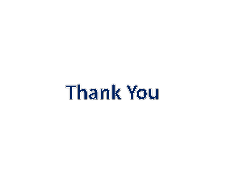# Thank You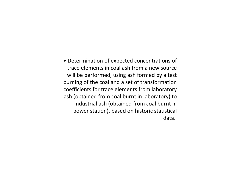• Determination of expected concentrations of trace elements in coal ash from a new source will be performed, using ash formed by a test burning of the coal and a set of transformation coefficients for trace elements from laboratory ash (obtained from coal burnt in laboratory) to industrial ash (obtained from coal burnt in power station), based on historic statistical data.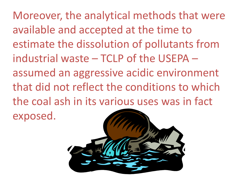Moreover, the analytical methods that were available and accepted at the time to estimate the dissolution of pollutants from industrial waste – TCLP of the USEPA – assumed an aggressive acidic environment that did not reflect the conditions to which the coal ash in its various uses was in fact exposed.